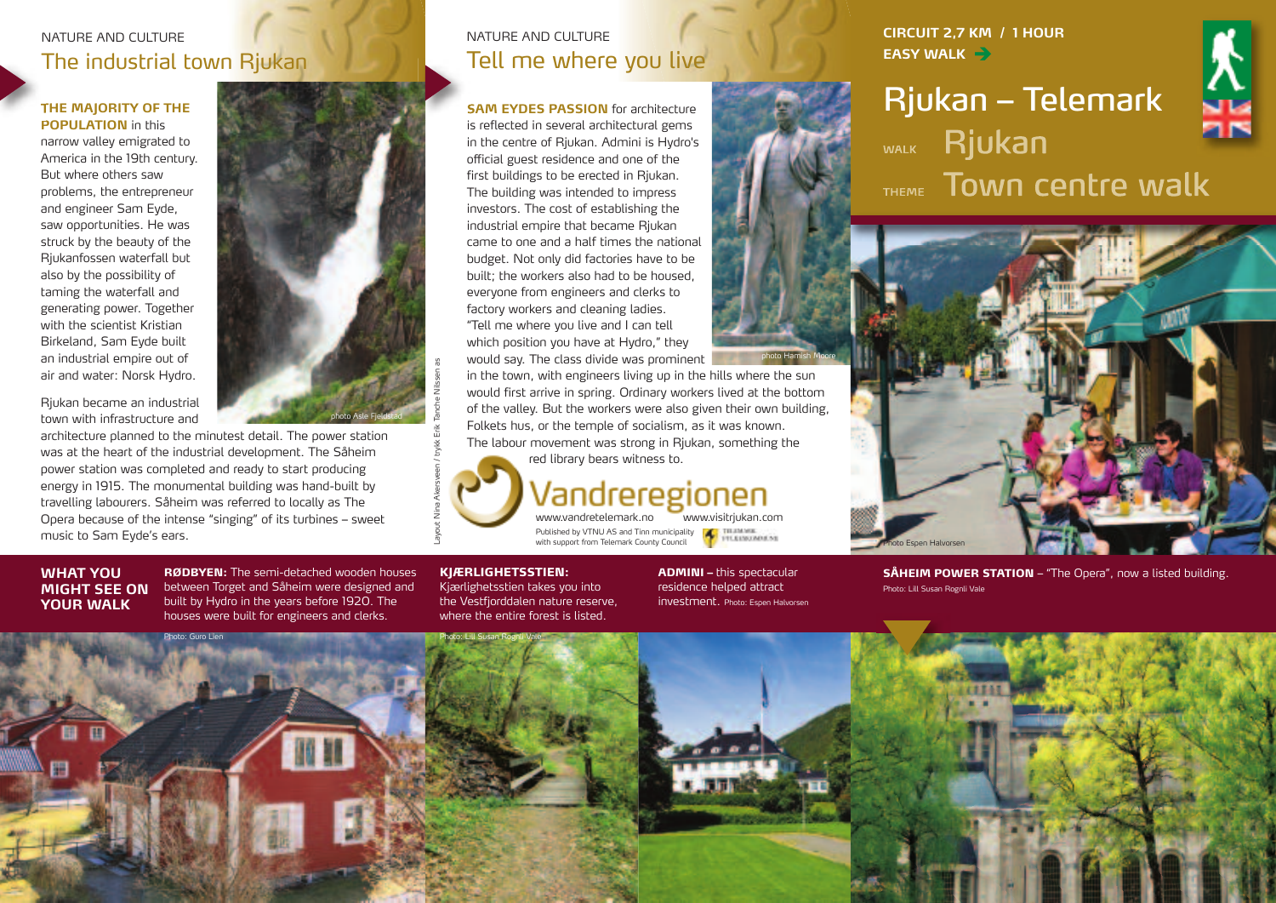## NATURE AND CULTURE The industrial town Rjukan

#### **THE MAJORITY OF THE POPULATION** in this

narrow valley emigrated to America in the 19th century. But where others saw problems, the entrepreneur and engineer Sam Eyde, saw opportunities. He was struck by the beauty of the Rjukanfossen waterfall but also by the possibility of taming the waterfall and generating power. Together with the scientist Kristian Birkeland, Sam Eyde built an industrial empire out of air and water: Norsk Hydro.

Rjukan became an industrial town with infrastructure and

architecture planned to the minutest detail. The power station was at the heart of the industrial development. The Såheim power station was completed and ready to start producing energy in 1915. The monumental building was hand-built by travelling labourers. Såheim was referred to locally as The Opera because of the intense "singing" of its turbines – sweet music to Sam Eyde's ears.

**WHAT YOU MIGHT SEE ON YOUR WALK**

**RØDBYEN:** The semi-detached wooden houses between Torget and Såheim were designed and built by Hydro in the years before 1920. The houses were built for engineers and clerks.

## NATURE AND CULTURE Tell me where you live

**SAM EYDES PASSION** for architecture is reflected in several architectural gems in the centre of Rjukan. Admini is Hydro's official guest residence and one of the first buildings to be erected in Rjukan. The building was intended to impress investors. The cost of establishing the industrial empire that became Rjukan came to one and a half times the national budget. Not only did factories have to be built; the workers also had to be housed, everyone from engineers and clerks to factory workers and cleaning ladies. "Tell me where you live and I can tell which position you have at Hydro," they would say. The class divide was prominent

in the town, with engineers living up in the hills where the sun would first arrive in spring. Ordinary workers lived at the bottom of the valley. But the workers were also given their own building, Folkets hus, or the temple of socialism, as it was known. The labour movement was strong in Rjukan, something the Photo Espen Halvorsen<br>
Would first arrive in spring. Ordinary workers lived at the bottom<br>
of the valley. But the workers were also given their own building,<br>
Folkets hus, or the temple of socialism, as it was known.<br>
The



 $\overline{\phantom{0}}$ 

www.visitriukan.com Published by VTNU AS and Tinn municipality with support from Telemark County Council

#### **KJÆRLIGHETSSTIEN:**

Kjærlighetsstien takes you into the Vestfjorddalen nature reserve, where the entire forest is listed.

**ADMINI –** this spectacular residence helped attract investment. Photo: Espen Halvorsen

photo Hamish Moore

**CIRCUIT 2,7 KM / 1 HOUR EASY WALK**

# **Rjukan – Telemark** WALK Rjukan